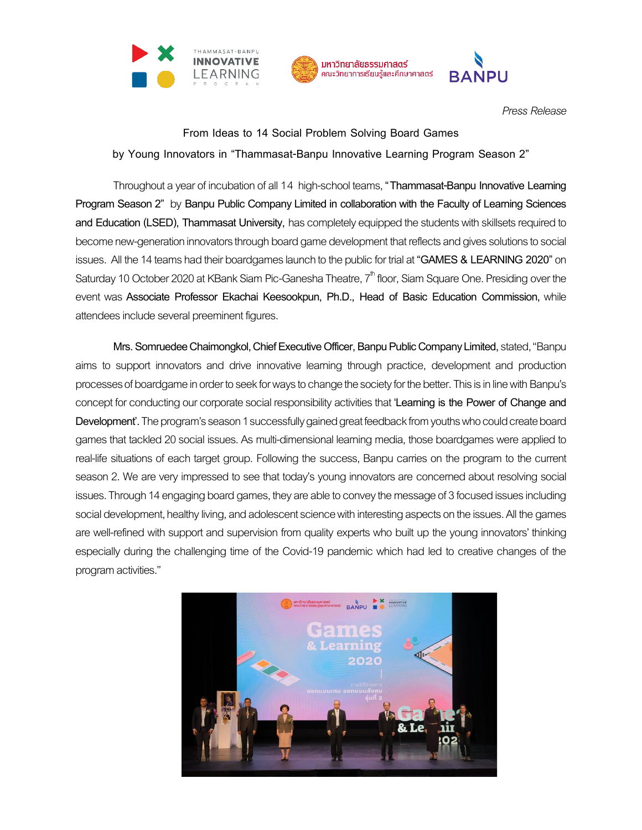



*Press Release*

**From Ideas to 14 Social Problem Solving Board Games by Young Innovators in "Thammasat-Banpu Innovative Learning Program Season 2"**

Throughout a year of incubation of all 14 high-school teams, "Thammasat-Banpu Innovative Learning **Program Season 2"** by **Banpu Public Company Limited in collaboration with the Faculty of Learning Sciences and Education (LSED), Thammasat University,** has completely equipped the students with skillsets required to become new-generation innovators through board game development that reflects and gives solutions to social issues. All the 14 teams had their boardgames launch to the public for trial at "**GAMES & LEARNING 2020**" on Saturday 10 October 2020 at KBank Siam Pic-Ganesha Theatre,  $7^{\mathsf{th}}$  floor, Siam Square One. Presiding over the event was **Associate Professor Ekachai Keesookpun, Ph.D., Head of Basic Education Commission,** while attendees include several preeminent figures.

**Mrs. SomruedeeChaimongkol,Chief Executive Officer, Banpu Public Company Limited,**stated,"Banpu aims to support innovators and drive innovative learning through practice, development and production processes of boardgame in order to seek for ways to change the society for the better. This is in line with Banpu's concept for conducting our corporate social responsibility activities that 'Learning is the Power of Change and **Development<sup>'</sup>**. The program's season 1 successfully gained great feedback from youths who could create board games that tackled 20 social issues. As multi-dimensional learning media, those boardgames were applied to real-life situations of each target group. Following the success, Banpu carries on the program to the current season 2. We are very impressed to see that today's young innovators are concerned about resolving social issues. Through 14 engaging board games, they are able to convey the message of 3 focused issues including social development, healthy living, and adolescent science with interesting aspects on the issues. All the games are well-refined with support and supervision from quality experts who built up the young innovators' thinking especially during the challenging time of the Covid-19 pandemic which had led to creative changes of the program activities."

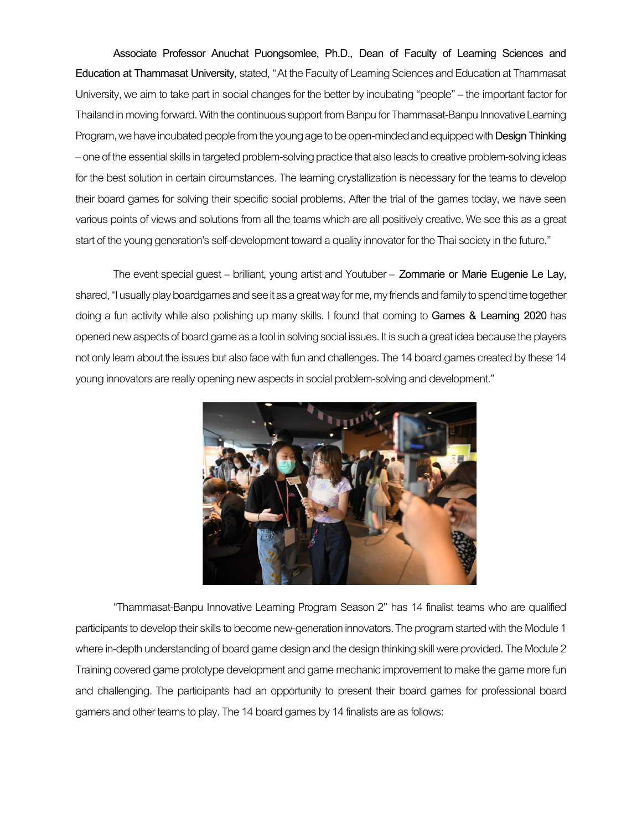**Associate Professor Anuchat Puongsomlee, Ph.D., Dean of Faculty of Learning Sciences and Education at Thammasat University,** stated, "At the Faculty of Learning Sciences and Education at Thammasat University, we aim to take part in social changes for the better by incubating "people" – the important factor for Thailand in moving forward. With the continuous support from Banpu for Thammasat-Banpu Innovative Learning Program, we have incubated people from the young age to be open-minded and equipped with **Design Thinking** –one of the essential skills in targeted problem-solving practice that also leads to creative problem-solvingideas for the best solution in certain circumstances. The learning crystallization is necessary for the teams to develop their board games for solving their specific social problems. After the trial of the games today, we have seen various points of views and solutions from all the teams which are all positively creative.We see this as a great start of the young generation's self-development toward a quality innovator for the Thai society in the future."

The event special guest – brilliant, young artist and Youtuber – **Zommarie or Marie Eugenie Le Lay,**  shared, "I usuallyplay boardgames and see it as a great wayfor me,my friends and family to spend time together doing a fun activity while also polishing up many skills. I found that coming to **Games & Learning 2020** has opened new aspects of board game as a tool in solving social issues. It is such a great idea because the players not only learn about the issues but also face with fun and challenges. The 14 board games created by these 14 young innovators are really opening new aspects in social problem-solving and development."



"Thammasat-Banpu Innovative Learning Program Season 2" has 14 finalist teams who are qualified participants to develop their skills to become new-generation innovators. The program started with the Module 1 where in-depth understanding of board game design and the design thinking skill were provided. The Module 2 Training covered game prototype development and game mechanic improvement to make the game more fun and challenging. The participants had an opportunity to present their board games for professional board gamers and other teams to play. The 14 board games by 14 finalists are as follows: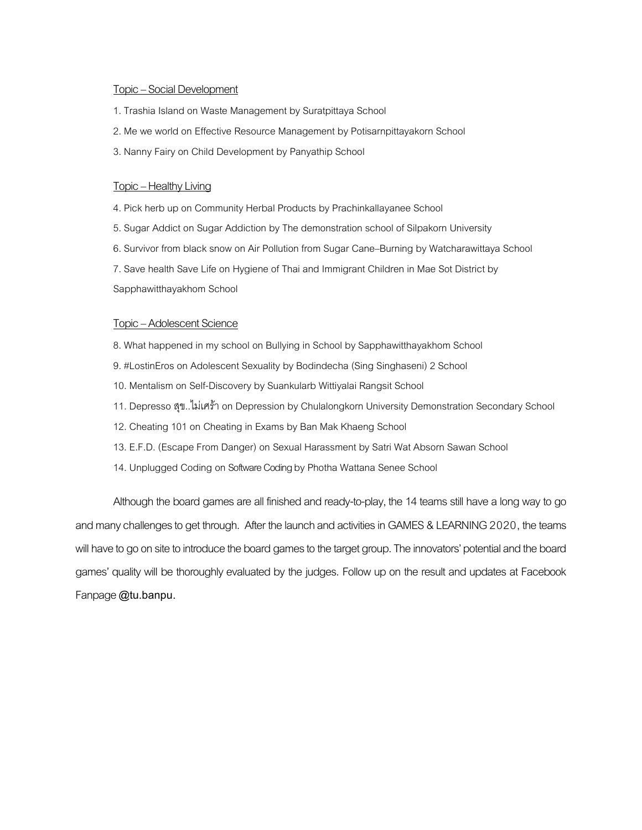# Topic – Social Development

- 1. Trashia Island on Waste Management by Suratpittaya School
- 2. Me we world on Effective Resource Management by Potisarnpittayakorn School
- 3. Nanny Fairy on Child Development by Panyathip School

# Topic – Healthy Living

- 4. Pick herb up on Community Herbal Products by Prachinkallayanee School
- 5. Sugar Addict on Sugar Addiction by The demonstration school of Silpakorn University
- 6. Survivor from black snow on Air Pollution from Sugar Cane–Burning by Watcharawittaya School

7. Save health Save Life on Hygiene of Thai and Immigrant Children in Mae Sot District by Sapphawitthayakhom School

# Topic – Adolescent Science

- 8. What happened in my school on Bullying in School by Sapphawitthayakhom School
- 9. #LostinEros on Adolescent Sexuality by Bodindecha (Sing Singhaseni) 2 School
- 10. Mentalism on Self-Discovery by Suankularb Wittiyalai Rangsit School
- 11. Depresso สุข..ไม่เศร้าon Depression by Chulalongkorn University Demonstration Secondary School
- 12. Cheating 101 on Cheating in Exams by Ban Mak Khaeng School
- 13. E.F.D. (Escape From Danger) on Sexual Harassment by Satri Wat Absorn Sawan School
- 14. Unplugged Coding on Software Coding by Photha Wattana Senee School

Although the board games are all finished and ready-to-play, the 14 teams still have a long way to go and many challenges to get through. After the launch and activities in GAMES & LEARNING 2020, the teams will have to go on site to introduce the board games to the target group. The innovators' potential and the board games' quality will be thoroughly evaluated by the judges. Follow up on the result and updates at Facebook Fanpage**@tu.banpu.**